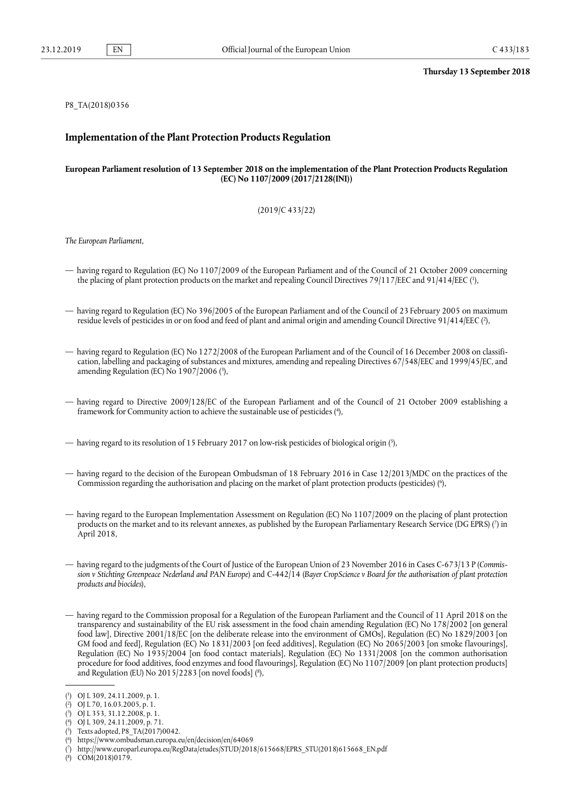# P8\_TA(2018)0356

#### **Implementation of the Plant Protection Products Regulation**

# **European Parliamentresolution of 13 September 2018 on the implementation of the Plant Protection Products Regulation (EC) No 1107/2009 (2017/2128(INI))**

# (2019/C 433/22)

 *The European Parliament,*

- <span id="page-0-1"></span> — having regard to Regulation (EC) No 1107/2009 of the European Parliament and of the Council of 21 October 2009 concerning the placing of plant protection products on the market and repealing Council Directives 79/117/EEC and 91/414/EEC (<sup>1</sup>),
- <span id="page-0-3"></span> — having regard to Regulation (EC) No 396/2005 of the European Parliament and of the Council of 23 February 2005 on maximum residue levels of pesticides in or on food and feed of plant and animal origin and amending Council Directive 91/414/EEC ( [2\)](#page-0-2),
- <span id="page-0-5"></span> — having regard to Regulation (EC) No 1272/2008 of the European Parliament and of the Council of 16 December 2008 on classifi- cation, labelling and packaging of substances and mixtures, amending and repealing Directives 67/548/EEC and 1999/45/EC, and amending Regulation (EC) No 1907/2006 ( [3\)](#page-0-4),
- <span id="page-0-7"></span> — having regard to Directive 2009/128/EC of the European Parliament and of the Council of 21 October 2009 establishing a framework for Community action to achieve the sustainable use of pesticides ( [4](#page-0-6)),

<span id="page-0-9"></span>— having regard to its resolution of 15 February 2017 on low-risk pesticides of biological origin ( [5](#page-0-8)),

- <span id="page-0-11"></span> — having regard to the decision of the European Ombudsman of 18 February 2016 in Case 12/2013/MDC on the practices of the Commission regarding the authorisation and placing on the market of plant protection products (pesticides) ( [6](#page-0-10)),
- <span id="page-0-13"></span> — having regard to the European Implementation Assessment on Regulation (EC) No 1107/2009 on the placing of plant protection products on the market and to its relevant annexes, as published by the European Parliamentary Research Service (DG EPRS) ([7](#page-0-12)) in April 2018,
- sion v Stichting Greenpeace Nederland and PAN Europe) and C-442/14 (Bayer CropScience v Board for the authorisation of plant protection  *products and biocides*), — having regard to the judgments of the Court of Justice of the European Union of 23 November 2016 in Cases C-673/13 P (*Commis-*
- <span id="page-0-15"></span> — having regard to the Commission proposal for a Regulation of the European Parliament and the Council of 11 April 2018 on the food law], Directive 2001/18/EC [on the deliberate release into the environment of GMOs], Regulation (EC) No 1829/2003 [on GM food and feed], Regulation (EC) No 1831/2003 [on feed additives], Regulation (EC) No 2065/2003 [on smoke flavourings], Regulation (EC) No 1935/2004 [on food contact materials], Regulation (EC) No 1331/2008 [on the common authorisation procedure for food additives, food enzymes and food flavourings], Regulation (EC) No 1107/2009 [on plant protection products] and Regulation (EU) No 2015/2283 [on novel foods] ( [8\)](#page-0-14), transparency and sustainability of the EU risk assessment in the food chain amending Regulation (EC) No 178/2002 [on general

<span id="page-0-14"></span>( [8\)](#page-0-15) COM(2018)0179.

<span id="page-0-0"></span><sup>(</sup> [1\)](#page-0-1) OJ L 309, 24.11.2009, p. 1.

<span id="page-0-2"></span><sup>(</sup> [2\)](#page-0-3) OJ L 70, 16.03.2005, p. 1.

<span id="page-0-4"></span><sup>(</sup> [3\)](#page-0-5) OJ L 353, 31.12.2008, p. 1.

<span id="page-0-6"></span><sup>(</sup> [4\)](#page-0-7) OJ L 309, 24.11.2009, p. 71.

<span id="page-0-8"></span> $(5)$ [5\)](#page-0-9) Texts adopted, P8\_TA(2017)0042.

<span id="page-0-10"></span> $(6)$ [6\)](#page-0-11) <https://www.ombudsman.europa.eu/en/decision/en/64069>

<span id="page-0-12"></span><sup>(</sup> [7\)](#page-0-13) [http://www.europarl.europa.eu/RegData/etudes/STUD/2018/615668/EPRS\\_STU\(2018\)615668\\_EN.pdf](http://www.europarl.europa.eu/RegData/etudes/STUD/2018/615668/EPRS_STU(2018)615668_EN.pdf)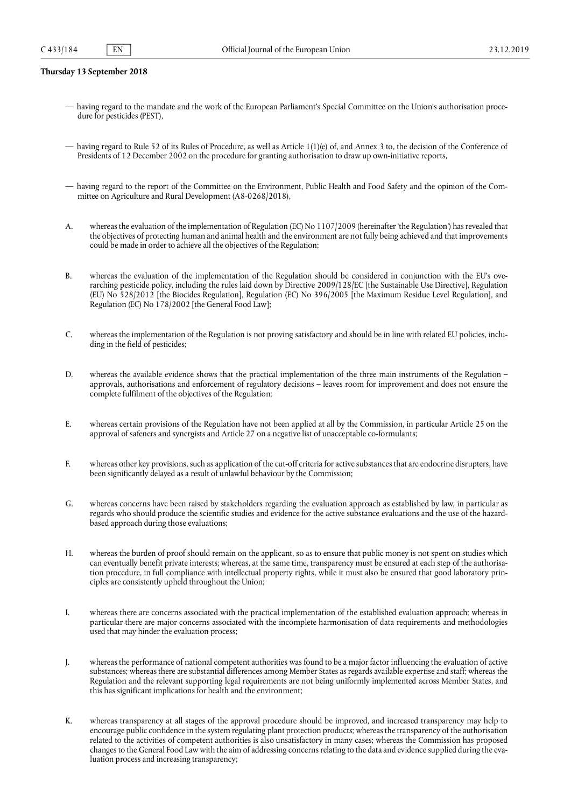- — having regard to the mandate and the work of the European Parliament's Special Committee on the Union's authorisation proce-dure for pesticides (PEST),
- — having regard to Rule 52 of its Rules of Procedure, as well as Article 1(1)(e) of, and Annex 3 to, the decision of the Conference of Presidents of 12 December 2002 on the procedure for granting authorisation to draw up own-initiative reports,
- — having regard to the report of the Committee on the Environment, Public Health and Food Safety and the opinion of the Com-mittee on Agriculture and Rural Development (A8-0268/2018),
- A. whereas the evaluation of the implementation of Regulation (EC) No 1107/2009 (hereinafter 'the Regulation') has revealed that the objectives of protecting human and animal health and the environment are not fully being achieved and that improvements could be made in order to achieve all the objectives of the Regulation;
- B. whereas the evaluation of the implementation of the Regulation should be considered in conjunction with the EU's ove- rarching pesticide policy, including the rules laid down by Directive 2009/128/EC [the Sustainable Use Directive], Regulation (EU) No 528/2012 [the Biocides Regulation], Regulation (EC) No 396/2005 [the Maximum Residue Level Regulation], and Regulation (EC) No 178/2002 [the General Food Law];
- C. whereas the implementation of the Regulation is not proving satisfactory and should be in line with related EU policies, inclu-ding in the field of pesticides;
- D. whereas the available evidence shows that the practical implementation of the three main instruments of the Regulation approvals, authorisations and enforcement of regulatory decisions – leaves room for improvement and does not ensure the complete fulfilment of the objectives of the Regulation;
- E. whereas certain provisions of the Regulation have not been applied at all by the Commission, in particular Article 25 on the approval of safeners and synergists and Article 27 on a negative list of unacceptable co-formulants;
- F. whereas other key provisions, such as application of the cut-off criteria for active substancesthat are endocrine disrupters, have been significantly delayed as a result of unlawful behaviour by the Commission;
- G. whereas concerns have been raised by stakeholders regarding the evaluation approach as established by law, in particular as regards who should produce the scientific studies and evidence for the active substance evaluations and the use of the hazard-based approach during those evaluations;
- H. whereas the burden of proof should remain on the applicant, so as to ensure that public money is not spent on studies which tion procedure, in full compliance with intellectual property rights, while it must also be ensured that good laboratory prin- ciples are consistently upheld throughout the Union; can eventually benefit private interests; whereas, at the same time, transparency must be ensured at each step of the authorisa-
- I. whereas there are concerns associated with the practical implementation of the established evaluation approach; whereas in particular there are major concerns associated with the incomplete harmonisation of data requirements and methodologies used that may hinder the evaluation process;
- J. whereas the performance of national competent authorities was found to be a major factor influencing the evaluation of active substances; whereasthere are substantial differences among Member States asregards available expertise and staff; whereas the Regulation and the relevant supporting legal requirements are not being uniformly implemented across Member States, and this has significant implications for health and the environment;
- K. whereas transparency at all stages of the approval procedure should be improved, and increased transparency may help to encourage public confidence in the system regulating plant protection products; whereasthe transparency of the authorisation related to the activities of competent authorities is also unsatisfactory in many cases; whereas the Commission has proposed changes to the General Food Law with the aim of addressing concernsrelating to the data and evidence supplied during the eva-luation process and increasing transparency;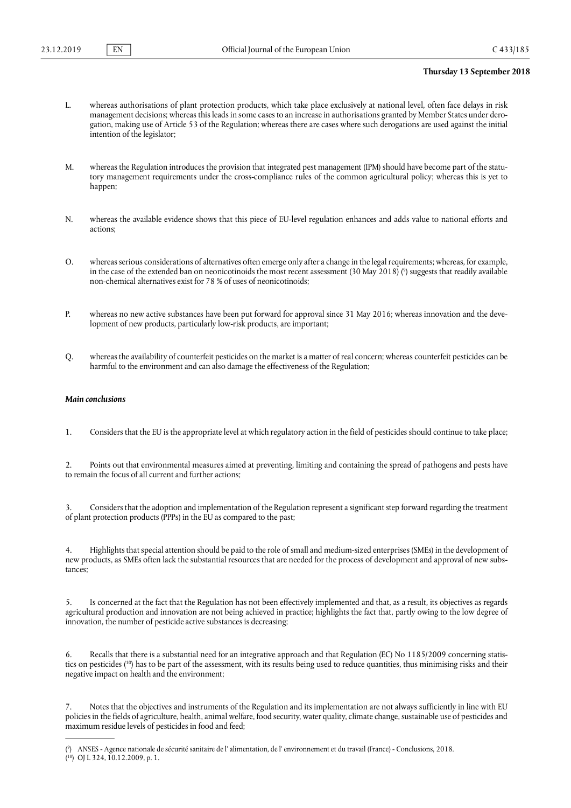- L. whereas authorisations of plant protection products, which take place exclusively at national level, often face delays in risk management decisions; whereas thisleadsin some cases to an increase in authorisations granted by Member States under dero- gation, making use of Article 53 of the Regulation; whereas there are cases where such derogations are used against the initial intention of the legislator;
- M. whereas the Regulation introduces the provision that integrated pest management (IPM) should have become part of the statu- tory management requirements under the cross-compliance rules of the common agricultural policy; whereas this is yet to happen;
- N. whereas the available evidence shows that this piece of EU-level regulation enhances and adds value to national efforts and actions;
- <span id="page-2-1"></span> O. whereasserious considerations of alternatives often emerge only after a change in the legal requirements; whereas, for example, in the case of the extended ban on neonicotinoids the most recent assessment (30 May 2018) (<sup>[9](#page-2-0)</sup>) suggests that readily available non-chemical alternatives exist for 78 % of uses of neonicotinoids;
- P. whereas no new active substances have been put forward for approval since 31 May 2016; whereas innovation and the deve-lopment of new products, particularly low-risk products, are important;
- Q. whereasthe availability of counterfeit pesticides on the market is a matter of real concern; whereas counterfeit pesticides can be harmful to the environment and can also damage the effectiveness of the Regulation;

# *Main conclusions*

1. Considers that the EU is the appropriate level at which regulatory action in the field of pesticides should continue to take place;

 2. Points out that environmental measures aimed at preventing, limiting and containing the spread of pathogens and pests have to remain the focus of all current and further actions;

 3. Considersthat the adoption and implementation of the Regulation represent a significant step forward regarding the treatment of plant protection products (PPPs) in the EU as compared to the past;

4. Highlights that special attention should be paid to the role of small and medium-sized enterprises (SMEs) in the development of new products, as SMEs often lack the substantial resources that are needed for the process of development and approval of new substances;

 5. Is concerned at the fact that the Regulation has not been effectively implemented and that, as a result, its objectives as regards agricultural production and innovation are not being achieved in practice; highlights the fact that, partly owing to the low degree of innovation, the number of pesticide active substances is decreasing;

<span id="page-2-3"></span> 6. Recalls that there is a substantial need for an integrative approach and that Regulation (EC) No 1185/2009 concerning statis- tics on pesticides ( [10\)](#page-2-2) has to be part of the assessment, with its results being used to reduce quantities, thus minimising risks and their negative impact on health and the environment;

 7. Notes that the objectives and instruments of the Regulation and its implementation are not always sufficiently in line with EU policiesin the fields of agriculture, health, animal welfare, food security, water quality, climate change, sustainable use of pesticides and maximum residue levels of pesticides in food and feed;

<span id="page-2-2"></span><span id="page-2-0"></span><sup>(</sup> [9\)](#page-2-1) ANSES - Agence nationale de sécurité sanitaire de l' alimentation, de l' environnement et du travail (France) - Conclusions, 2018. ( [10](#page-2-3)) OJ L 324, 10.12.2009, p. 1.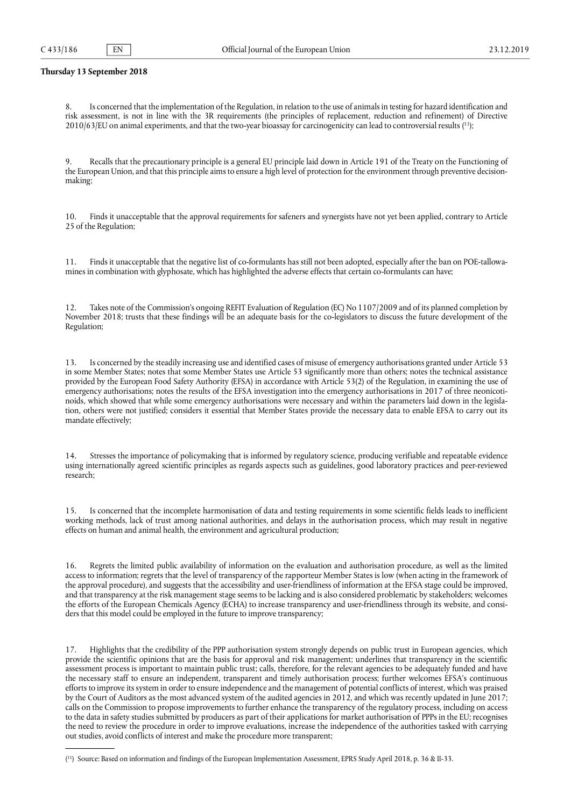<span id="page-3-1"></span> 8. Is concerned that the implementation of the Regulation, in relation to the use of animalsin testing for hazard identification and risk assessment, is not in line with the 3R requirements (the principles of replacement, reduction and refinement) of Directive  $2010/63$ /EU on animal experiments, and that the two-year bioassay for carcinogenicity can lead to controversial results  $(11)$  $(11)$ ;

 9. Recalls that the precautionary principle is a general EU principle laid down in Article 191 of the Treaty on the Functioning of the European Union, and that this principle aims to ensure a high level of protection for the environment through preventive decisionmaking;

 10. Finds it unacceptable that the approval requirements for safeners and synergists have not yet been applied, contrary to Article 25 of the Regulation;

 11. Finds it unacceptable that the negative list of co-formulants has still not been adopted, especially after the ban on POE-tallowa-mines in combination with glyphosate, which has highlighted the adverse effects that certain co-formulants can have;

 12. Takes note of the Commission's ongoing REFIT Evaluation of Regulation (EC) No 1107/2009 and of its planned completion by November 2018; trusts that these findings will be an adequate basis for the co-legislators to discuss the future development of the Regulation;

 13. Is concerned by the steadily increasing use and identified cases of misuse of emergency authorisations granted under Article 53 in some Member States; notes that some Member States use Article 53 significantly more than others; notes the technical assistance provided by the European Food Safety Authority (EFSA) in accordance with Article 53(2) of the Regulation, in examining the use of emergency authorisations; notes the results of the EFSA investigation into the emergency authorisations in 2017 of three neonicoti- noids, which showed that while some emergency authorisations were necessary and within the parameters laid down in the legisla- tion, others were not justified; considers it essential that Member States provide the necessary data to enable EFSA to carry out its mandate effectively;

 14. Stresses the importance of policymaking that is informed by regulatory science, producing verifiable and repeatable evidence using internationally agreed scientific principles as regards aspects such as guidelines, good laboratory practices and peer-reviewed research;

 15. Is concerned that the incomplete harmonisation of data and testing requirements in some scientific fields leads to inefficient working methods, lack of trust among national authorities, and delays in the authorisation process, which may result in negative effects on human and animal health, the environment and agricultural production;

 access to information; regrets that the level of transparency of the rapporteur Member States is low (when acting in the framework of the approval procedure), and suggests that the accessibility and user-friendliness of information at the EFSA stage could be improved, and that transparency at the risk management stage seems to be lacking and is also considered problematic by stakeholders; welcomes the efforts of the European Chemicals Agency (ECHA) to increase transparency and user-friendliness through its website, and consi- ders that this model could be employed in the future to improve transparency; 16. Regrets the limited public availability of information on the evaluation and authorisation procedure, as well as the limited

 17. Highlights that the credibility of the PPP authorisation system strongly depends on public trust in European agencies, which provide the scientific opinions that are the basis for approval and risk management; underlines that transparency in the scientific assessment process is important to maintain public trust; calls, therefore, for the relevant agencies to be adequately funded and have the necessary staff to ensure an independent, transparent and timely authorisation process; further welcomes EFSA's continuous efforts to improve itssystem in order to ensure independence and the management of potential conflicts of interest, which was praised by the Court of Auditors as the most advanced system of the audited agencies in 2012, and which was recently updated in June 2017; calls on the Commission to propose improvements to further enhance the transparency of the regulatory process, including on access to the data in safety studies submitted by producers as part of their applications for market authorisation of PPPs in the EU; recognises the need to review the procedure in order to improve evaluations, increase the independence of the authorities tasked with carrying out studies, avoid conflicts of interest and make the procedure more transparent;

<span id="page-3-0"></span><sup>(</sup> [11](#page-3-1)) Source: Based on information and findings of the European Implementation Assessment, EPRS Study April 2018, p. 36 & II-33.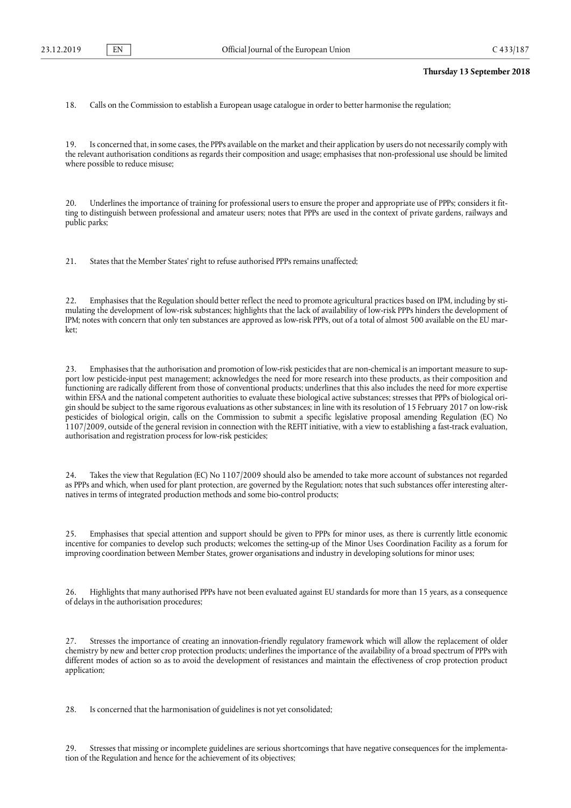18. Calls on the Commission to establish a European usage catalogue in order to better harmonise the regulation;

 19. Is concerned that, in some cases, the PPPs available on the market and their application by users do not necessarily comply with the relevant authorisation conditions as regards their composition and usage; emphasises that non-professional use should be limited where possible to reduce misuse;

 20. Underlines the importance of training for professional users to ensure the proper and appropriate use of PPPs; considers it fit- ting to distinguish between professional and amateur users; notes that PPPs are used in the context of private gardens, railways and public parks;

21. States that the Member States' right to refuse authorised PPPs remains unaffected;

 22. Emphasises that the Regulation should better reflect the need to promote agricultural practices based on IPM, including by sti- mulating the development of low-risk substances; highlights that the lack of availability of low-risk PPPs hinders the development of IPM; notes with concern that only ten substances are approved as low-risk PPPs, out of a total of almost 500 available on the EU market;

 23. Emphasises that the authorisation and promotion of low-risk pesticidesthat are non-chemical is an important measure to sup- port low pesticide-input pest management; acknowledges the need for more research into these products, as their composition and functioning are radically different from those of conventional products; underlines that this also includes the need for more expertise within EFSA and the national competent authorities to evaluate these biological active substances; stresses that PPPs of biological ori- gin should be subject to the same rigorous evaluations as other substances; in line with its resolution of 15 February 2017 on low-risk pesticides of biological origin, calls on the Commission to submit a specific legislative proposal amending Regulation (EC) No 1107/2009, outside of the general revision in connection with the REFIT initiative, with a view to establishing a fast-track evaluation, authorisation and registration process for low-risk pesticides;

 24. Takes the view that Regulation (EC) No 1107/2009 should also be amended to take more account of substances not regarded as PPPs and which, when used for plant protection, are governed by the Regulation; notes that such substances offer interesting alter-natives in terms of integrated production methods and some bio-control products;

 25. Emphasises that special attention and support should be given to PPPs for minor uses, as there is currently little economic incentive for companies to develop such products; welcomes the setting-up of the Minor Uses Coordination Facility as a forum for improving coordination between Member States, grower organisations and industry in developing solutions for minor uses;

 26. Highlights that many authorised PPPs have not been evaluated against EU standards for more than 15 years, as a consequence of delays in the authorisation procedures;

 27. Stresses the importance of creating an innovation-friendly regulatory framework which will allow the replacement of older chemistry by new and better crop protection products; underlines the importance of the availability of a broad spectrum of PPPs with different modes of action so as to avoid the development of resistances and maintain the effectiveness of crop protection product application;

28. Is concerned that the harmonisation of guidelines is not yet consolidated;

 29. Stresses that missing or incomplete guidelines are serious shortcomings that have negative consequences for the implementa-tion of the Regulation and hence for the achievement of its objectives;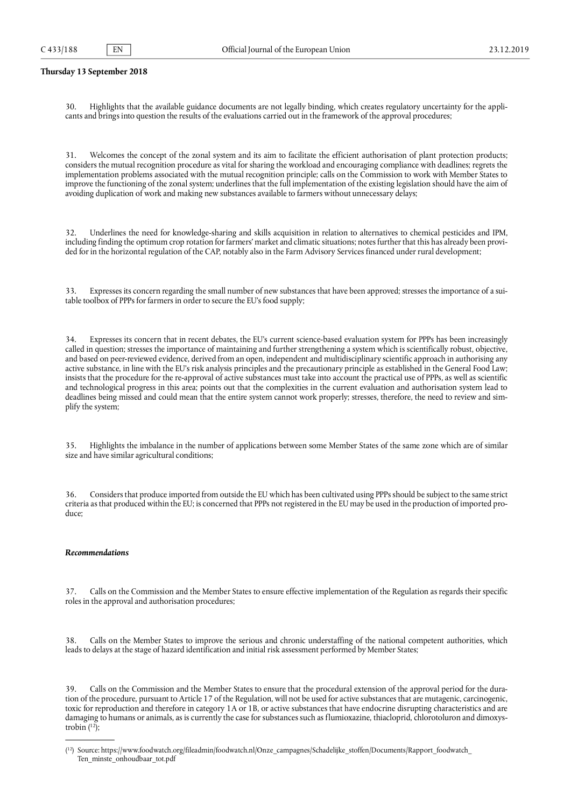30. Highlights that the available guidance documents are not legally binding, which creates regulatory uncertainty for the appli-cants and bringsinto question the results of the evaluations carried out in the framework of the approval procedures;

 31. Welcomes the concept of the zonal system and its aim to facilitate the efficient authorisation of plant protection products; considers the mutual recognition procedure as vital for sharing the workload and encouraging compliance with deadlines; regrets the implementation problems associated with the mutual recognition principle; calls on the Commission to work with Member States to improve the functioning of the zonal system; underlines that the full implementation of the existing legislation should have the aim of avoiding duplication of work and making new substances available to farmers without unnecessary delays;

 32. Underlines the need for knowledge-sharing and skills acquisition in relation to alternatives to chemical pesticides and IPM, including finding the optimum crop rotation for farmers' market and climatic situations; notesfurther that this has already been provi-ded for in the horizontal regulation of the CAP, notably also in the Farm Advisory Services financed under rural development;

 33. Expresses its concern regarding the small number of new substances that have been approved; stresses the importance of a sui-table toolbox of PPPs for farmers in order to secure the EU's food supply;

 34. Expresses its concern that in recent debates, the EU's current science-based evaluation system for PPPs has been increasingly called in question; stresses the importance of maintaining and further strengthening a system which is scientifically robust, objective, and based on peer-reviewed evidence, derived from an open, independent and multidisciplinary scientific approach in authorising any active substance, in line with the EU's risk analysis principles and the precautionary principle as established in the General Food Law; insists that the procedure for the re-approval of active substances must take into account the practical use of PPPs, as well as scientific and technological progress in this area; points out that the complexities in the current evaluation and authorisation system lead to deadlines being missed and could mean that the entire system cannot work properly; stresses, therefore, the need to review and sim-plify the system;

 35. Highlights the imbalance in the number of applications between some Member States of the same zone which are of similar size and have similar agricultural conditions;

 36. Considersthat produce imported from outside the EU which has been cultivated using PPPsshould be subject to the same strict criteria asthat produced within the EU; is concerned that PPPs not registered in the EU may be used in the production of imported produce;

# *Recommendations*

 37. Calls on the Commission and the Member States to ensure effective implementation of the Regulation as regards their specific roles in the approval and authorisation procedures;

 38. Calls on the Member States to improve the serious and chronic understaffing of the national competent authorities, which leads to delays at the stage of hazard identification and initial risk assessment performed by Member States;

<span id="page-5-0"></span> 39. Calls on the Commission and the Member States to ensure that the procedural extension of the approval period for the dura- tion of the procedure, pursuant to Article 17 of the Regulation, will not be used for active substances that are mutagenic, carcinogenic, toxic for reproduction and therefore in category 1A or 1B, or active substances that have endocrine disrupting characteristics and are damaging to humans or animals, as is currently the case for substancessuch as flumioxazine, thiacloprid, chlorotoluron and dimoxystrobin ( [12\)](#page-5-1);

<span id="page-5-1"></span><sup>(</sup> [12](#page-5-0)) Source: [https://www.foodwatch.org/fileadmin/foodwatch.nl/Onze\\_campagnes/Schadelijke\\_stoffen/Documents/Rapport\\_foodwatch](https://www.foodwatch.org/fileadmin/foodwatch.nl/Onze_campagnes/Schadelijke_stoffen/Documents/Rapport_foodwatch)\_ Ten minste onhoudbaar tot.pdf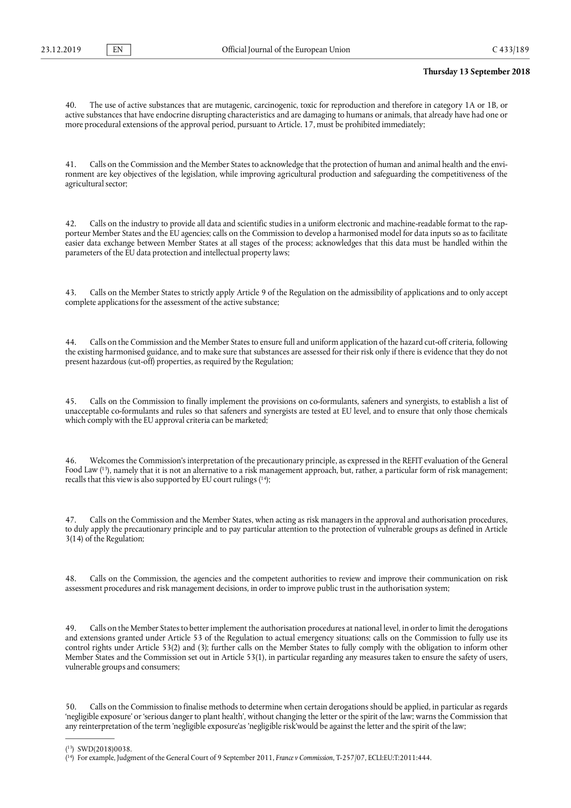40. The use of active substances that are mutagenic, carcinogenic, toxic for reproduction and therefore in category 1A or 1B, or active substances that have endocrine disrupting characteristics and are damaging to humans or animals, that already have had one or more procedural extensions of the approval period, pursuant to Article. 17, must be prohibited immediately;

 41. Calls on the Commission and the Member Statesto acknowledge that the protection of human and animal health and the envi- ronment are key objectives of the legislation, while improving agricultural production and safeguarding the competitiveness of the agricultural sector;

 42. Calls on the industry to provide all data and scientific studies in a uniform electronic and machine-readable format to the rap- porteur Member States and the EU agencies; calls on the Commission to develop a harmonised model for data inputs so as to facilitate easier data exchange between Member States at all stages of the process; acknowledges that this data must be handled within the parameters of the EU data protection and intellectual property laws;

 43. Calls on the Member States to strictly apply Article 9 of the Regulation on the admissibility of applications and to only accept complete applications for the assessment of the active substance;

 44. Calls on the Commission and the Member States to ensure full and uniform application of the hazard cut-off criteria, following the existing harmonised guidance, and to make sure that substances are assessed for their risk only if there is evidence that they do not present hazardous (cut-off) properties, as required by the Regulation;

 45. Calls on the Commission to finally implement the provisions on co-formulants, safeners and synergists, to establish a list of unacceptable co-formulants and rules so that safeners and synergists are tested at EU level, and to ensure that only those chemicals which comply with the EU approval criteria can be marketed;

<span id="page-6-0"></span> 46. Welcomes the Commission's interpretation of the precautionary principle, as expressed in the REFIT evaluation of the General Food Law ( 13), namely that it is not an alternative to a risk management approach, but, rather, a particular form of risk management; recalls that this view is also supported by EU court rulings ( [14\)](#page-6-1);

 47. Calls on the Commission and the Member States, when acting as risk managers in the approval and authorisation procedures, to duly apply the precautionary principle and to pay particular attention to the protection of vulnerable groups as defined in Article 3(14) of the Regulation;

 48. Calls on the Commission, the agencies and the competent authorities to review and improve their communication on risk assessment procedures and risk management decisions, in order to improve public trust in the authorisation system;

 49. Calls on the Member Statesto better implement the authorisation procedures at national level, in order to limit the derogations and extensions granted under Article 53 of the Regulation to actual emergency situations; calls on the Commission to fully use its control rights under Article 53(2) and (3); further calls on the Member States to fully comply with the obligation to inform other Member States and the Commission set out in Article 53(1), in particular regarding any measures taken to ensure the safety of users, vulnerable groups and consumers;

 50. Calls on the Commission to finalise methods to determine when certain derogations should be applied, in particular as regards 'negligible exposure' or 'serious danger to plant health', without changing the letter or the spirit of the law; warns the Commission that any reinterpretation of the term 'negligible exposure'as 'negligible risk'would be against the letter and the spirit of the law;

<sup>(</sup> [13](#page-6-0)) SWD(2018)0038.

<span id="page-6-1"></span><sup>(</sup> [14](#page-6-0)) For example, Judgment of the General Court of 9 September 2011, *France v Commission*, T-257/07, ECLI:EU:T:2011:444.